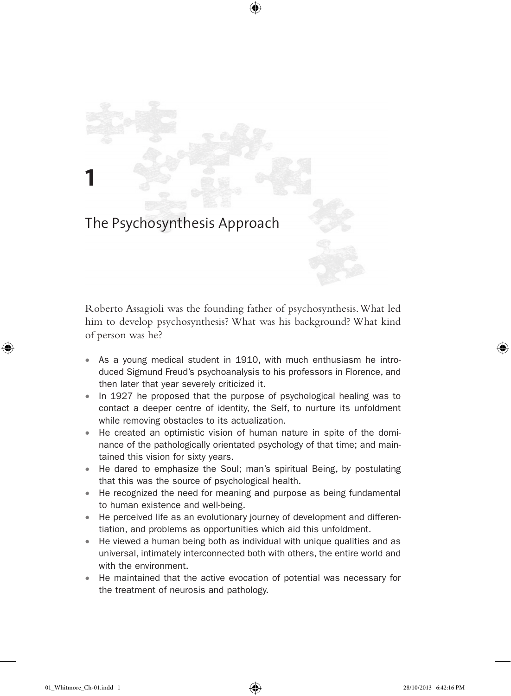# The Psychosynthesis Approach

**1**

⊕

Roberto Assagioli was the founding father of psychosynthesis. What led him to develop psychosynthesis? What was his background? What kind of person was he?

⊕

- As a young medical student in 1910, with much enthusiasm he introduced Sigmund Freud's psychoanalysis to his professors in Florence, and then later that year severely criticized it.
- In 1927 he proposed that the purpose of psychological healing was to contact a deeper centre of identity, the Self, to nurture its unfoldment while removing obstacles to its actualization.
- He created an optimistic vision of human nature in spite of the dominance of the pathologically orientated psychology of that time; and maintained this vision for sixty years.
- He dared to emphasize the Soul; man's spiritual Being, by postulating that this was the source of psychological health.
- He recognized the need for meaning and purpose as being fundamental to human existence and well-being.
- He perceived life as an evolutionary journey of development and differentiation, and problems as opportunities which aid this unfoldment.
- He viewed a human being both as individual with unique qualities and as universal, intimately interconnected both with others, the entire world and with the environment.
- He maintained that the active evocation of potential was necessary for the treatment of neurosis and pathology.

♠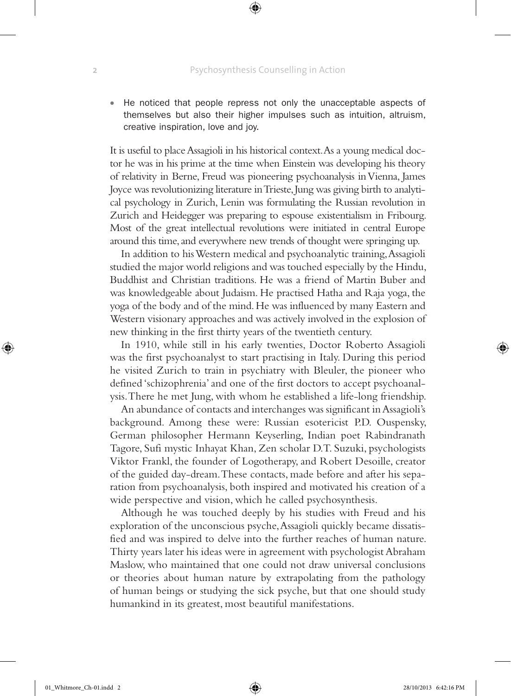⊕

• He noticed that people repress not only the unacceptable aspects of themselves but also their higher impulses such as intuition, altruism, creative inspiration, love and joy.

It is useful to place Assagioli in his historical context. As a young medical doctor he was in his prime at the time when Einstein was developing his theory of relativity in Berne, Freud was pioneering psychoanalysis in Vienna, James Joyce was revolutionizing literature in Trieste, Jung was giving birth to analytical psychology in Zurich, Lenin was formulating the Russian revolution in Zurich and Heidegger was preparing to espouse existentialism in Fribourg. Most of the great intellectual revolutions were initiated in central Europe around this time, and everywhere new trends of thought were springing up.

In addition to his Western medical and psychoanalytic training, Assagioli studied the major world religions and was touched especially by the Hindu, Buddhist and Christian traditions. He was a friend of Martin Buber and was knowledgeable about Judaism. He practised Hatha and Raja yoga, the yoga of the body and of the mind. He was influenced by many Eastern and Western visionary approaches and was actively involved in the explosion of new thinking in the first thirty years of the twentieth century.

In 1910, while still in his early twenties, Doctor Roberto Assagioli was the first psychoanalyst to start practising in Italy. During this period he visited Zurich to train in psychiatry with Bleuler, the pioneer who defined 'schizophrenia' and one of the first doctors to accept psychoanalysis. There he met Jung, with whom he established a life-long friendship.

An abundance of contacts and interchanges was significant in Assagioli's background. Among these were: Russian esotericist P.D. Ouspensky, German philosopher Hermann Keyserling, Indian poet Rabindranath Tagore, Sufi mystic Inhayat Khan, Zen scholar D.T. Suzuki, psychologists Viktor Frankl, the founder of Logotherapy, and Robert Desoille, creator of the guided day-dream. These contacts, made before and after his separation from psychoanalysis, both inspired and motivated his creation of a wide perspective and vision, which he called psychosynthesis.

Although he was touched deeply by his studies with Freud and his exploration of the unconscious psyche, Assagioli quickly became dissatisfied and was inspired to delve into the further reaches of human nature. Thirty years later his ideas were in agreement with psychologist Abraham Maslow, who maintained that one could not draw universal conclusions or theories about human nature by extrapolating from the pathology of human beings or studying the sick psyche, but that one should study humankind in its greatest, most beautiful manifestations.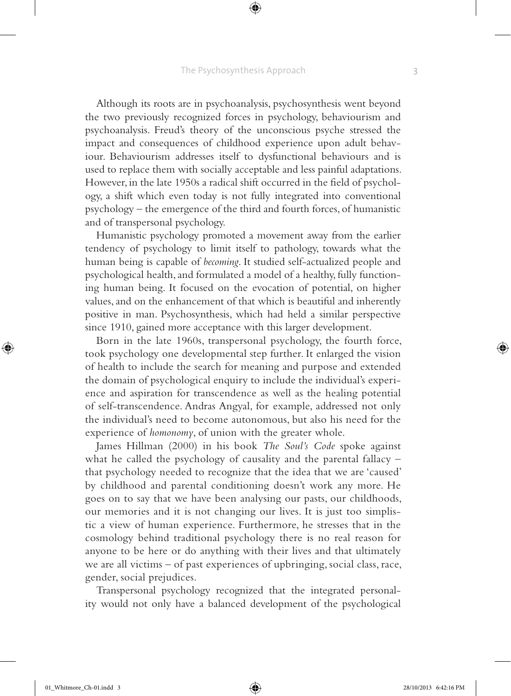#### The Psychosynthesis Approach **3**

⊕

Although its roots are in psychoanalysis, psychosynthesis went beyond the two previously recognized forces in psychology, behaviourism and psychoanalysis. Freud's theory of the unconscious psyche stressed the impact and consequences of childhood experience upon adult behaviour. Behaviourism addresses itself to dysfunctional behaviours and is used to replace them with socially acceptable and less painful adaptations. However, in the late 1950s a radical shift occurred in the field of psychology, a shift which even today is not fully integrated into conventional psychology – the emergence of the third and fourth forces, of humanistic and of transpersonal psychology.

Humanistic psychology promoted a movement away from the earlier tendency of psychology to limit itself to pathology, towards what the human being is capable of *becoming*. It studied self-actualized people and psychological health, and formulated a model of a healthy, fully functioning human being. It focused on the evocation of potential, on higher values, and on the enhancement of that which is beautiful and inherently positive in man. Psychosynthesis, which had held a similar perspective since 1910, gained more acceptance with this larger development.

Born in the late 1960s, transpersonal psychology, the fourth force, took psychology one developmental step further. It enlarged the vision of health to include the search for meaning and purpose and extended the domain of psychological enquiry to include the individual's experience and aspiration for transcendence as well as the healing potential of self-transcendence. Andras Angyal, for example, addressed not only the individual's need to become autonomous, but also his need for the experience of *homonomy*, of union with the greater whole.

James Hillman (2000) in his book *The Soul's Code* spoke against what he called the psychology of causality and the parental fallacy – that psychology needed to recognize that the idea that we are 'caused' by childhood and parental conditioning doesn't work any more. He goes on to say that we have been analysing our pasts, our childhoods, our memories and it is not changing our lives. It is just too simplistic a view of human experience. Furthermore, he stresses that in the cosmology behind traditional psychology there is no real reason for anyone to be here or do anything with their lives and that ultimately we are all victims – of past experiences of upbringing, social class, race, gender, social prejudices.

Transpersonal psychology recognized that the integrated personality would not only have a balanced development of the psychological

⊕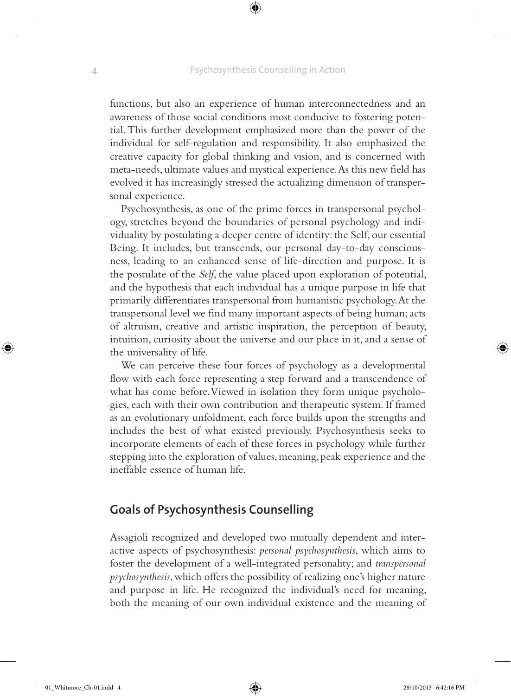functions, but also an experience of human interconnectedness and an awareness of those social conditions most conducive to fostering potential. This further development emphasized more than the power of the individual for self-regulation and responsibility. It also emphasized the creative capacity for global thinking and vision, and is concerned with meta-needs, ultimate values and mystical experience. As this new field has evolved it has increasingly stressed the actualizing dimension of transpersonal experience.

Psychosynthesis, as one of the prime forces in transpersonal psychology, stretches beyond the boundaries of personal psychology and individuality by postulating a deeper centre of identity: the Self, our essential Being. It includes, but transcends, our personal day-to-day consciousness, leading to an enhanced sense of life-direction and purpose. It is the postulate of the *Self*, the value placed upon exploration of potential, and the hypothesis that each individual has a unique purpose in life that primarily differentiates transpersonal from humanistic psychology. At the transpersonal level we find many important aspects of being human; acts of altruism, creative and artistic inspiration, the perception of beauty, intuition, curiosity about the universe and our place in it, and a sense of the universality of life.

We can perceive these four forces of psychology as a developmental flow with each force representing a step forward and a transcendence of what has come before. Viewed in isolation they form unique psychologies, each with their own contribution and therapeutic system. If framed as an evolutionary unfoldment, each force builds upon the strengths and includes the best of what existed previously. Psychosynthesis seeks to incorporate elements of each of these forces in psychology while further stepping into the exploration of values, meaning, peak experience and the ineffable essence of human life.

# **Goals of Psychosynthesis Counselling**

Assagioli recognized and developed two mutually dependent and interactive aspects of psychosynthesis: *personal psychosynthesis*, which aims to foster the development of a well-integrated personality; and *transpersonal psychosynthesis*, which offers the possibility of realizing one's higher nature and purpose in life. He recognized the individual's need for meaning, both the meaning of our own individual existence and the meaning of

⊕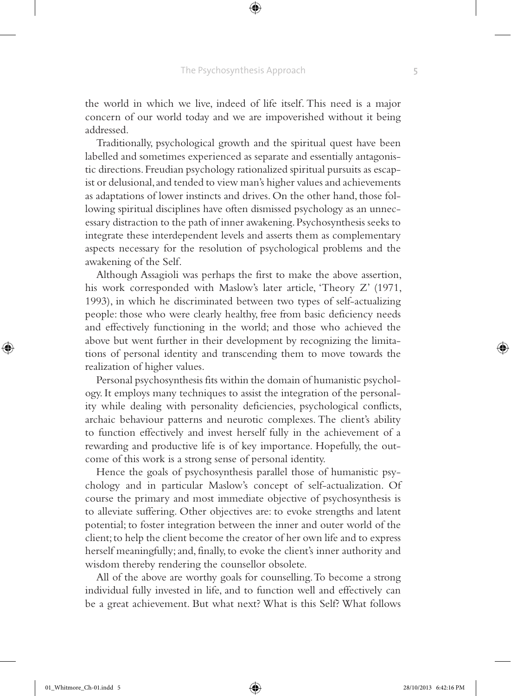the world in which we live, indeed of life itself. This need is a major concern of our world today and we are impoverished without it being addressed.

Traditionally, psychological growth and the spiritual quest have been labelled and sometimes experienced as separate and essentially antagonistic directions. Freudian psychology rationalized spiritual pursuits as escapist or delusional, and tended to view man's higher values and achievements as adaptations of lower instincts and drives. On the other hand, those following spiritual disciplines have often dismissed psychology as an unnecessary distraction to the path of inner awakening. Psychosynthesis seeks to integrate these interdependent levels and asserts them as complementary aspects necessary for the resolution of psychological problems and the awakening of the Self.

Although Assagioli was perhaps the first to make the above assertion, his work corresponded with Maslow's later article, 'Theory Z' (1971, 1993), in which he discriminated between two types of self-actualizing people: those who were clearly healthy, free from basic deficiency needs and effectively functioning in the world; and those who achieved the above but went further in their development by recognizing the limitations of personal identity and transcending them to move towards the realization of higher values.

Personal psychosynthesis fits within the domain of humanistic psychology. It employs many techniques to assist the integration of the personality while dealing with personality deficiencies, psychological conflicts, archaic behaviour patterns and neurotic complexes. The client's ability to function effectively and invest herself fully in the achievement of a rewarding and productive life is of key importance. Hopefully, the outcome of this work is a strong sense of personal identity.

Hence the goals of psychosynthesis parallel those of humanistic psychology and in particular Maslow's concept of self-actualization. Of course the primary and most immediate objective of psychosynthesis is to alleviate suffering. Other objectives are: to evoke strengths and latent potential; to foster integration between the inner and outer world of the client; to help the client become the creator of her own life and to express herself meaningfully; and, finally, to evoke the client's inner authority and wisdom thereby rendering the counsellor obsolete.

All of the above are worthy goals for counselling. To become a strong individual fully invested in life, and to function well and effectively can be a great achievement. But what next? What is this Self? What follows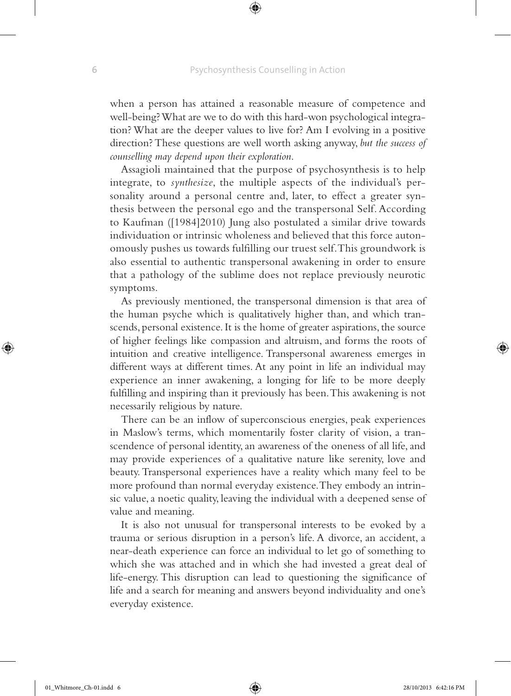when a person has attained a reasonable measure of competence and well-being? What are we to do with this hard-won psychological integration? What are the deeper values to live for? Am I evolving in a positive direction? These questions are well worth asking anyway, *but the success of counselling may depend upon their exploration*.

Assagioli maintained that the purpose of psychosynthesis is to help integrate, to *synthesize*, the multiple aspects of the individual's personality around a personal centre and, later, to effect a greater synthesis between the personal ego and the transpersonal Self. According to Kaufman ([1984]2010) Jung also postulated a similar drive towards individuation or intrinsic wholeness and believed that this force autonomously pushes us towards fulfilling our truest self. This groundwork is also essential to authentic transpersonal awakening in order to ensure that a pathology of the sublime does not replace previously neurotic symptoms.

As previously mentioned, the transpersonal dimension is that area of the human psyche which is qualitatively higher than, and which transcends, personal existence. It is the home of greater aspirations, the source of higher feelings like compassion and altruism, and forms the roots of intuition and creative intelligence. Transpersonal awareness emerges in different ways at different times. At any point in life an individual may experience an inner awakening, a longing for life to be more deeply fulfilling and inspiring than it previously has been. This awakening is not necessarily religious by nature.

There can be an inflow of superconscious energies, peak experiences in Maslow's terms, which momentarily foster clarity of vision, a transcendence of personal identity, an awareness of the oneness of all life, and may provide experiences of a qualitative nature like serenity, love and beauty. Transpersonal experiences have a reality which many feel to be more profound than normal everyday existence. They embody an intrinsic value, a noetic quality, leaving the individual with a deepened sense of value and meaning.

It is also not unusual for transpersonal interests to be evoked by a trauma or serious disruption in a person's life. A divorce, an accident, a near-death experience can force an individual to let go of something to which she was attached and in which she had invested a great deal of life-energy. This disruption can lead to questioning the significance of life and a search for meaning and answers beyond individuality and one's everyday existence.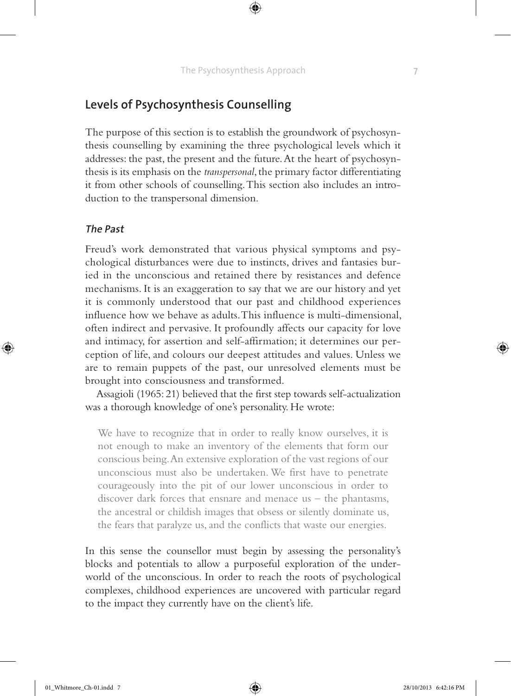⊕

# **Levels of Psychosynthesis Counselling**

The purpose of this section is to establish the groundwork of psychosynthesis counselling by examining the three psychological levels which it addresses: the past, the present and the future. At the heart of psychosynthesis is its emphasis on the *transpersonal*, the primary factor differentiating it from other schools of counselling. This section also includes an introduction to the transpersonal dimension.

## **The Past**

⊕

Freud's work demonstrated that various physical symptoms and psychological disturbances were due to instincts, drives and fantasies buried in the unconscious and retained there by resistances and defence mechanisms. It is an exaggeration to say that we are our history and yet it is commonly understood that our past and childhood experiences influence how we behave as adults. This influence is multi-dimensional, often indirect and pervasive. It profoundly affects our capacity for love and intimacy, for assertion and self-affirmation; it determines our perception of life, and colours our deepest attitudes and values. Unless we are to remain puppets of the past, our unresolved elements must be brought into consciousness and transformed.

Assagioli (1965: 21) believed that the first step towards self-actualization was a thorough knowledge of one's personality. He wrote:

We have to recognize that in order to really know ourselves, it is not enough to make an inventory of the elements that form our conscious being. An extensive exploration of the vast regions of our unconscious must also be undertaken. We first have to penetrate courageously into the pit of our lower unconscious in order to discover dark forces that ensnare and menace us – the phantasms, the ancestral or childish images that obsess or silently dominate us, the fears that paralyze us, and the conflicts that waste our energies.

In this sense the counsellor must begin by assessing the personality's blocks and potentials to allow a purposeful exploration of the underworld of the unconscious. In order to reach the roots of psychological complexes, childhood experiences are uncovered with particular regard to the impact they currently have on the client's life.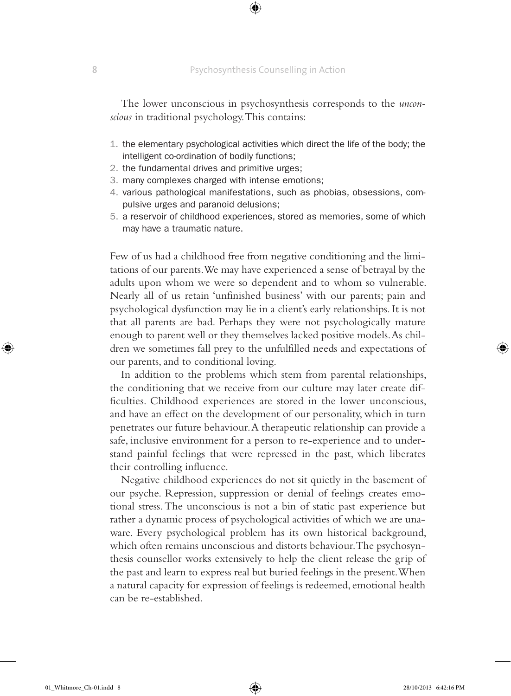The lower unconscious in psychosynthesis corresponds to the *unconscious* in traditional psychology. This contains:

- 1. the elementary psychological activities which direct the life of the body; the intelligent co-ordination of bodily functions;
- 2. the fundamental drives and primitive urges;
- 3. many complexes charged with intense emotions;
- 4. various pathological manifestations, such as phobias, obsessions, compulsive urges and paranoid delusions;
- 5. a reservoir of childhood experiences, stored as memories, some of which may have a traumatic nature.

Few of us had a childhood free from negative conditioning and the limitations of our parents. We may have experienced a sense of betrayal by the adults upon whom we were so dependent and to whom so vulnerable. Nearly all of us retain 'unfinished business' with our parents; pain and psychological dysfunction may lie in a client's early relationships. It is not that all parents are bad. Perhaps they were not psychologically mature enough to parent well or they themselves lacked positive models. As children we sometimes fall prey to the unfulfilled needs and expectations of our parents, and to conditional loving.

In addition to the problems which stem from parental relationships, the conditioning that we receive from our culture may later create difficulties. Childhood experiences are stored in the lower unconscious, and have an effect on the development of our personality, which in turn penetrates our future behaviour. A therapeutic relationship can provide a safe, inclusive environment for a person to re-experience and to understand painful feelings that were repressed in the past, which liberates their controlling influence.

Negative childhood experiences do not sit quietly in the basement of our psyche. Repression, suppression or denial of feelings creates emotional stress. The unconscious is not a bin of static past experience but rather a dynamic process of psychological activities of which we are unaware. Every psychological problem has its own historical background, which often remains unconscious and distorts behaviour. The psychosynthesis counsellor works extensively to help the client release the grip of the past and learn to express real but buried feelings in the present. When a natural capacity for expression of feelings is redeemed, emotional health can be re-established.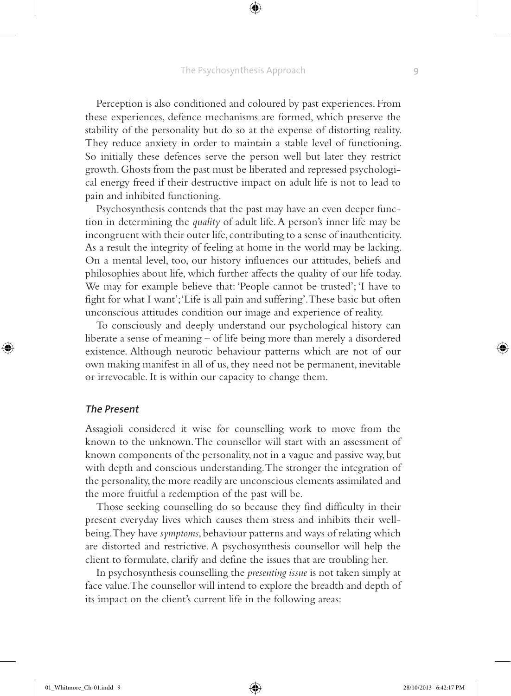#### The Psychosynthesis Approach **9**

⊕

Perception is also conditioned and coloured by past experiences. From these experiences, defence mechanisms are formed, which preserve the stability of the personality but do so at the expense of distorting reality. They reduce anxiety in order to maintain a stable level of functioning. So initially these defences serve the person well but later they restrict growth. Ghosts from the past must be liberated and repressed psychological energy freed if their destructive impact on adult life is not to lead to pain and inhibited functioning.

Psychosynthesis contends that the past may have an even deeper function in determining the *quality* of adult life. A person's inner life may be incongruent with their outer life, contributing to a sense of inauthenticity. As a result the integrity of feeling at home in the world may be lacking. On a mental level, too, our history influences our attitudes, beliefs and philosophies about life, which further affects the quality of our life today. We may for example believe that: 'People cannot be trusted'; 'I have to fight for what I want'; 'Life is all pain and suffering'. These basic but often unconscious attitudes condition our image and experience of reality.

To consciously and deeply understand our psychological history can liberate a sense of meaning – of life being more than merely a disordered existence. Although neurotic behaviour patterns which are not of our own making manifest in all of us, they need not be permanent, inevitable or irrevocable. It is within our capacity to change them.

## **The Present**

♠

Assagioli considered it wise for counselling work to move from the known to the unknown. The counsellor will start with an assessment of known components of the personality, not in a vague and passive way, but with depth and conscious understanding. The stronger the integration of the personality, the more readily are unconscious elements assimilated and the more fruitful a redemption of the past will be.

Those seeking counselling do so because they find difficulty in their present everyday lives which causes them stress and inhibits their wellbeing. They have *symptoms*, behaviour patterns and ways of relating which are distorted and restrictive. A psychosynthesis counsellor will help the client to formulate, clarify and define the issues that are troubling her.

In psychosynthesis counselling the *presenting issue* is not taken simply at face value. The counsellor will intend to explore the breadth and depth of its impact on the client's current life in the following areas: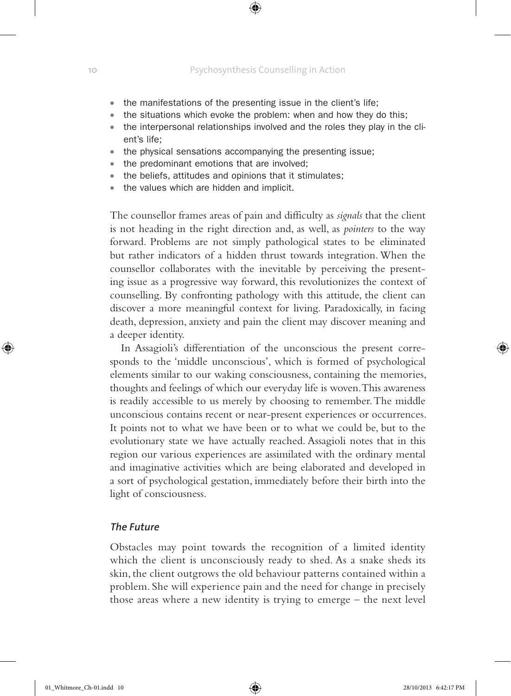- the manifestations of the presenting issue in the client's life;
- the situations which evoke the problem: when and how they do this;

⊕

- the interpersonal relationships involved and the roles they play in the client's life;
- the physical sensations accompanying the presenting issue;
- the predominant emotions that are involved;
- the beliefs, attitudes and opinions that it stimulates:
- the values which are hidden and implicit.

The counsellor frames areas of pain and difficulty as *signals* that the client is not heading in the right direction and, as well, as *pointers* to the way forward. Problems are not simply pathological states to be eliminated but rather indicators of a hidden thrust towards integration. When the counsellor collaborates with the inevitable by perceiving the presenting issue as a progressive way forward, this revolutionizes the context of counselling. By confronting pathology with this attitude, the client can discover a more meaningful context for living. Paradoxically, in facing death, depression, anxiety and pain the client may discover meaning and a deeper identity.

In Assagioli's differentiation of the unconscious the present corresponds to the 'middle unconscious', which is formed of psychological elements similar to our waking consciousness, containing the memories, thoughts and feelings of which our everyday life is woven. This awareness is readily accessible to us merely by choosing to remember. The middle unconscious contains recent or near-present experiences or occurrences. It points not to what we have been or to what we could be, but to the evolutionary state we have actually reached. Assagioli notes that in this region our various experiences are assimilated with the ordinary mental and imaginative activities which are being elaborated and developed in a sort of psychological gestation, immediately before their birth into the light of consciousness.

## **The Future**

Obstacles may point towards the recognition of a limited identity which the client is unconsciously ready to shed. As a snake sheds its skin, the client outgrows the old behaviour patterns contained within a problem. She will experience pain and the need for change in precisely those areas where a new identity is trying to emerge – the next level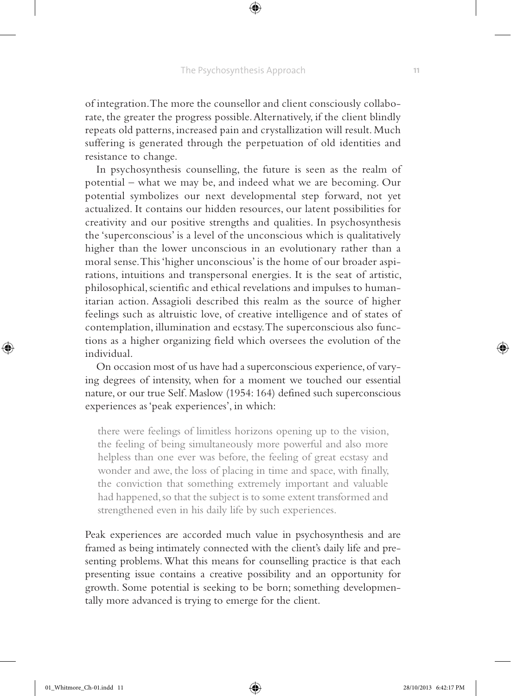of integration. The more the counsellor and client consciously collaborate, the greater the progress possible. Alternatively, if the client blindly repeats old patterns, increased pain and crystallization will result. Much suffering is generated through the perpetuation of old identities and resistance to change.

In psychosynthesis counselling, the future is seen as the realm of potential – what we may be, and indeed what we are becoming. Our potential symbolizes our next developmental step forward, not yet actualized. It contains our hidden resources, our latent possibilities for creativity and our positive strengths and qualities. In psychosynthesis the 'superconscious' is a level of the unconscious which is qualitatively higher than the lower unconscious in an evolutionary rather than a moral sense. This 'higher unconscious' is the home of our broader aspirations, intuitions and transpersonal energies. It is the seat of artistic, philosophical, scientific and ethical revelations and impulses to humanitarian action. Assagioli described this realm as the source of higher feelings such as altruistic love, of creative intelligence and of states of contemplation, illumination and ecstasy. The superconscious also functions as a higher organizing field which oversees the evolution of the individual.

On occasion most of us have had a superconscious experience, of varying degrees of intensity, when for a moment we touched our essential nature, or our true Self. Maslow (1954: 164) defined such superconscious experiences as 'peak experiences', in which:

there were feelings of limitless horizons opening up to the vision, the feeling of being simultaneously more powerful and also more helpless than one ever was before, the feeling of great ecstasy and wonder and awe, the loss of placing in time and space, with finally, the conviction that something extremely important and valuable had happened, so that the subject is to some extent transformed and strengthened even in his daily life by such experiences.

Peak experiences are accorded much value in psychosynthesis and are framed as being intimately connected with the client's daily life and presenting problems. What this means for counselling practice is that each presenting issue contains a creative possibility and an opportunity for growth. Some potential is seeking to be born; something developmentally more advanced is trying to emerge for the client.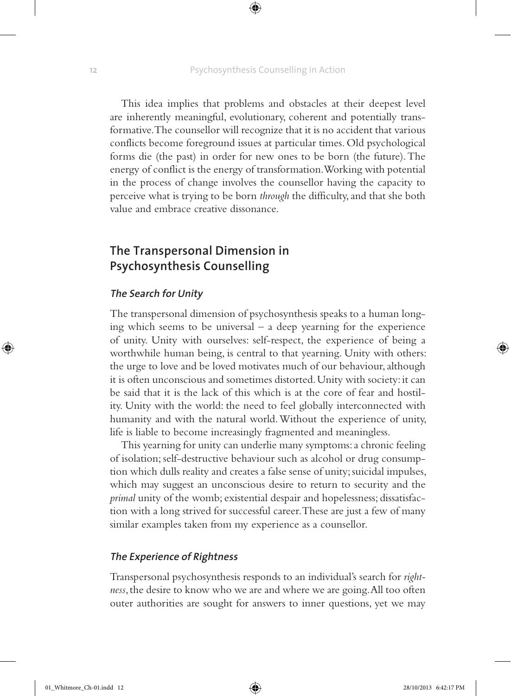⊕

This idea implies that problems and obstacles at their deepest level are inherently meaningful, evolutionary, coherent and potentially transformative. The counsellor will recognize that it is no accident that various conflicts become foreground issues at particular times. Old psychological forms die (the past) in order for new ones to be born (the future). The energy of conflict is the energy of transformation. Working with potential in the process of change involves the counsellor having the capacity to perceive what is trying to be born *through* the difficulty, and that she both value and embrace creative dissonance.

# **The Transpersonal Dimension in Psychosynthesis Counselling**

#### **The Search for Unity**

The transpersonal dimension of psychosynthesis speaks to a human longing which seems to be universal – a deep yearning for the experience of unity. Unity with ourselves: self-respect, the experience of being a worthwhile human being, is central to that yearning. Unity with others: the urge to love and be loved motivates much of our behaviour, although it is often unconscious and sometimes distorted. Unity with society: it can be said that it is the lack of this which is at the core of fear and hostility. Unity with the world: the need to feel globally interconnected with humanity and with the natural world. Without the experience of unity, life is liable to become increasingly fragmented and meaningless.

This yearning for unity can underlie many symptoms: a chronic feeling of isolation; self-destructive behaviour such as alcohol or drug consumption which dulls reality and creates a false sense of unity; suicidal impulses, which may suggest an unconscious desire to return to security and the *primal* unity of the womb; existential despair and hopelessness; dissatisfaction with a long strived for successful career. These are just a few of many similar examples taken from my experience as a counsellor.

#### **The Experience of Rightness**

Transpersonal psychosynthesis responds to an individual's search for *rightness*, the desire to know who we are and where we are going. All too often outer authorities are sought for answers to inner questions, yet we may

⊕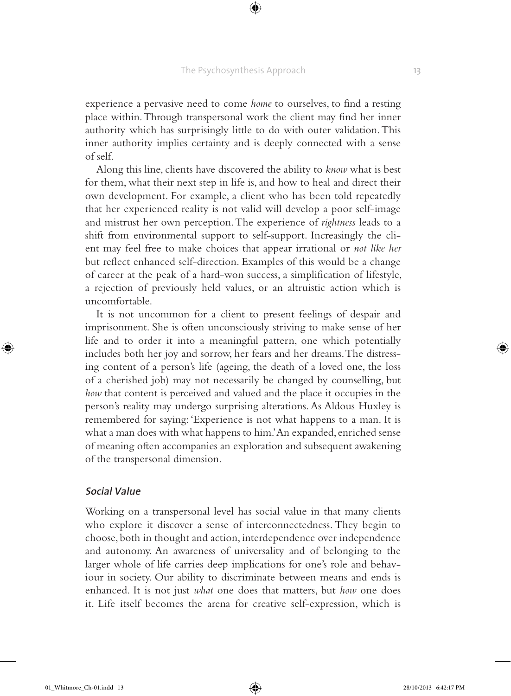experience a pervasive need to come *home* to ourselves, to find a resting place within. Through transpersonal work the client may find her inner authority which has surprisingly little to do with outer validation. This inner authority implies certainty and is deeply connected with a sense of self.

Along this line, clients have discovered the ability to *know* what is best for them, what their next step in life is, and how to heal and direct their own development. For example, a client who has been told repeatedly that her experienced reality is not valid will develop a poor self-image and mistrust her own perception. The experience of *rightness* leads to a shift from environmental support to self-support. Increasingly the client may feel free to make choices that appear irrational or *not like her*  but reflect enhanced self-direction. Examples of this would be a change of career at the peak of a hard-won success, a simplification of lifestyle, a rejection of previously held values, or an altruistic action which is uncomfortable.

It is not uncommon for a client to present feelings of despair and imprisonment. She is often unconsciously striving to make sense of her life and to order it into a meaningful pattern, one which potentially includes both her joy and sorrow, her fears and her dreams. The distressing content of a person's life (ageing, the death of a loved one, the loss of a cherished job) may not necessarily be changed by counselling, but *how* that content is perceived and valued and the place it occupies in the person's reality may undergo surprising alterations. As Aldous Huxley is remembered for saying: 'Experience is not what happens to a man. It is what a man does with what happens to him.' An expanded, enriched sense of meaning often accompanies an exploration and subsequent awakening of the transpersonal dimension.

# **Social Value**

⊕

Working on a transpersonal level has social value in that many clients who explore it discover a sense of interconnectedness. They begin to choose, both in thought and action, interdependence over independence and autonomy. An awareness of universality and of belonging to the larger whole of life carries deep implications for one's role and behaviour in society. Our ability to discriminate between means and ends is enhanced. It is not just *what* one does that matters, but *how* one does it. Life itself becomes the arena for creative self-expression, which is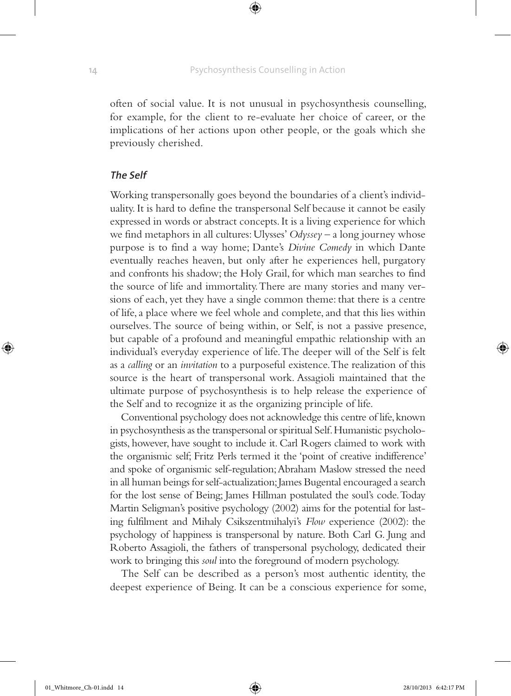⊕

often of social value. It is not unusual in psychosynthesis counselling, for example, for the client to re-evaluate her choice of career, or the implications of her actions upon other people, or the goals which she previously cherished.

# **The Self**

Working transpersonally goes beyond the boundaries of a client's individuality. It is hard to define the transpersonal Self because it cannot be easily expressed in words or abstract concepts. It is a living experience for which we find metaphors in all cultures: Ulysses' *Odyssey –* a long journey whose purpose is to find a way home; Dante's *Divine Comedy* in which Dante eventually reaches heaven, but only after he experiences hell, purgatory and confronts his shadow; the Holy Grail, for which man searches to find the source of life and immortality. There are many stories and many versions of each, yet they have a single common theme: that there is a centre of life, a place where we feel whole and complete, and that this lies within ourselves. The source of being within, or Self, is not a passive presence, but capable of a profound and meaningful empathic relationship with an individual's everyday experience of life. The deeper will of the Self is felt as a *calling* or an *invitation* to a purposeful existence. The realization of this source is the heart of transpersonal work. Assagioli maintained that the ultimate purpose of psychosynthesis is to help release the experience of the Self and to recognize it as the organizing principle of life.

Conventional psychology does not acknowledge this centre of life, known in psychosynthesis as the transpersonal or spiritual Self. Humanistic psychologists, however, have sought to include it. Carl Rogers claimed to work with the organismic self; Fritz Perls termed it the 'point of creative indifference' and spoke of organismic self-regulation; Abraham Maslow stressed the need in all human beings for self-actualization; James Bugental encouraged a search for the lost sense of Being; James Hillman postulated the soul's code. Today Martin Seligman's positive psychology (2002) aims for the potential for lasting fulfilment and Mihaly Csikszentmihalyi's *Flow* experience (2002): the psychology of happiness is transpersonal by nature. Both Carl G. Jung and Roberto Assagioli, the fathers of transpersonal psychology, dedicated their work to bringing this *soul* into the foreground of modern psychology.

The Self can be described as a person's most authentic identity, the deepest experience of Being. It can be a conscious experience for some,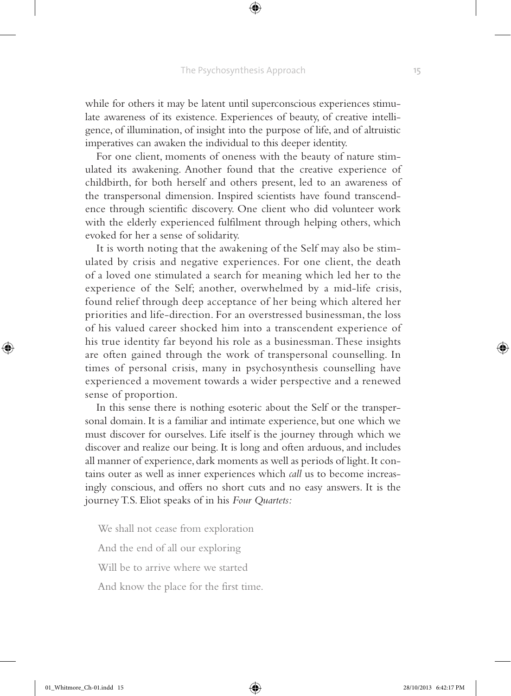while for others it may be latent until superconscious experiences stimulate awareness of its existence. Experiences of beauty, of creative intelligence, of illumination, of insight into the purpose of life, and of altruistic imperatives can awaken the individual to this deeper identity.

For one client, moments of oneness with the beauty of nature stimulated its awakening. Another found that the creative experience of childbirth, for both herself and others present, led to an awareness of the transpersonal dimension. Inspired scientists have found transcendence through scientific discovery. One client who did volunteer work with the elderly experienced fulfilment through helping others, which evoked for her a sense of solidarity.

It is worth noting that the awakening of the Self may also be stimulated by crisis and negative experiences. For one client, the death of a loved one stimulated a search for meaning which led her to the experience of the Self; another, overwhelmed by a mid-life crisis, found relief through deep acceptance of her being which altered her priorities and life-direction. For an overstressed businessman, the loss of his valued career shocked him into a transcendent experience of his true identity far beyond his role as a businessman. These insights are often gained through the work of transpersonal counselling. In times of personal crisis, many in psychosynthesis counselling have experienced a movement towards a wider perspective and a renewed sense of proportion.

In this sense there is nothing esoteric about the Self or the transpersonal domain. It is a familiar and intimate experience, but one which we must discover for ourselves. Life itself is the journey through which we discover and realize our being. It is long and often arduous, and includes all manner of experience, dark moments as well as periods of light. It contains outer as well as inner experiences which *call* us to become increasingly conscious, and offers no short cuts and no easy answers. It is the journey T.S. Eliot speaks of in his *Four Quartets:*

We shall not cease from exploration

And the end of all our exploring

Will be to arrive where we started

And know the place for the first time.